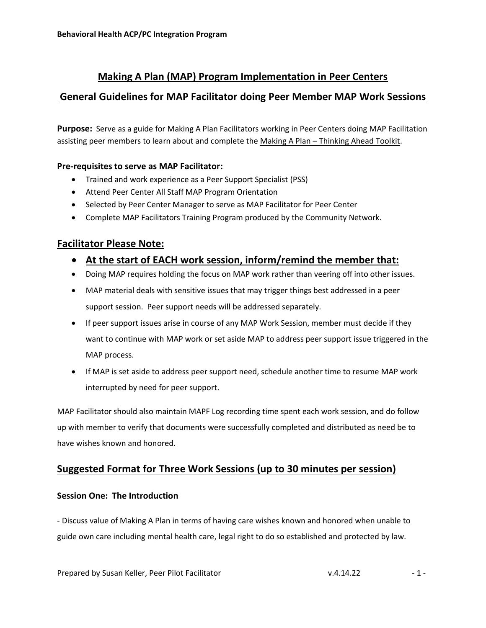# **Making A Plan (MAP) Program Implementation in Peer Centers**

## **General Guidelines for MAP Facilitator doing Peer Member MAP Work Sessions**

**Purpose:** Serve as a guide for Making A Plan Facilitators working in Peer Centers doing MAP Facilitation assisting peer members to learn about and complete the Making A Plan - Thinking Ahead Toolkit.

### **Pre-requisites to serve as MAP Facilitator:**

- Trained and work experience as a Peer Support Specialist (PSS)
- Attend Peer Center All Staff MAP Program Orientation
- Selected by Peer Center Manager to serve as MAP Facilitator for Peer Center
- Complete MAP Facilitators Training Program produced by the Community Network.

## **Facilitator Please Note:**

- **At the start of EACH work session, inform/remind the member that:**
- Doing MAP requires holding the focus on MAP work rather than veering off into other issues.
- MAP material deals with sensitive issues that may trigger things best addressed in a peer support session. Peer support needs will be addressed separately.
- If peer support issues arise in course of any MAP Work Session, member must decide if they want to continue with MAP work or set aside MAP to address peer support issue triggered in the MAP process.
- If MAP is set aside to address peer support need, schedule another time to resume MAP work interrupted by need for peer support.

MAP Facilitator should also maintain MAPF Log recording time spent each work session, and do follow up with member to verify that documents were successfully completed and distributed as need be to have wishes known and honored.

## **Suggested Format for Three Work Sessions (up to 30 minutes per session)**

#### **Session One: The Introduction**

- Discuss value of Making A Plan in terms of having care wishes known and honored when unable to guide own care including mental health care, legal right to do so established and protected by law.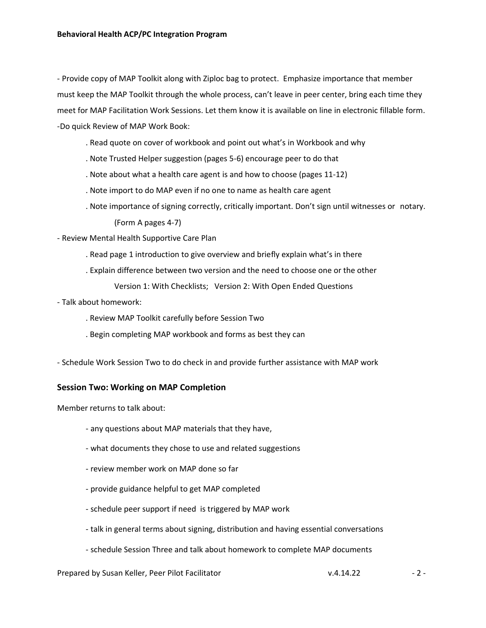- Provide copy of MAP Toolkit along with Ziploc bag to protect. Emphasize importance that member must keep the MAP Toolkit through the whole process, can't leave in peer center, bring each time they meet for MAP Facilitation Work Sessions. Let them know it is available on line in electronic fillable form. -Do quick Review of MAP Work Book:

- . Read quote on cover of workbook and point out what's in Workbook and why
- . Note Trusted Helper suggestion (pages 5-6) encourage peer to do that
- . Note about what a health care agent is and how to choose (pages 11-12)
- . Note import to do MAP even if no one to name as health care agent
- . Note importance of signing correctly, critically important. Don't sign until witnesses or notary.

(Form A pages 4-7)

- Review Mental Health Supportive Care Plan
	- . Read page 1 introduction to give overview and briefly explain what's in there
	- . Explain difference between two version and the need to choose one or the other

Version 1: With Checklists; Version 2: With Open Ended Questions

- Talk about homework:
	- . Review MAP Toolkit carefully before Session Two
	- . Begin completing MAP workbook and forms as best they can
- Schedule Work Session Two to do check in and provide further assistance with MAP work

#### **Session Two: Working on MAP Completion**

Member returns to talk about:

- any questions about MAP materials that they have,
- what documents they chose to use and related suggestions
- review member work on MAP done so far
- provide guidance helpful to get MAP completed
- schedule peer support if need is triggered by MAP work
- talk in general terms about signing, distribution and having essential conversations
- schedule Session Three and talk about homework to complete MAP documents